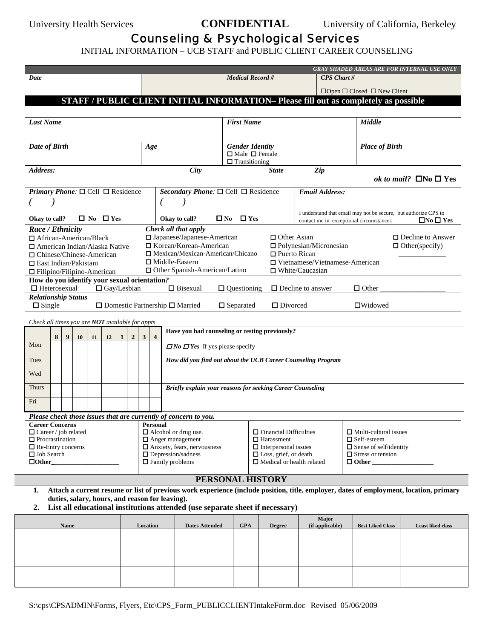University Health Services **CONFIDENTIAL** University of California, Berkeley

## Counseling & Psychological Services

INITIAL INFORMATION – UCB STAFF and PUBLIC CLIENT CAREER COUNSELING

|                                                                                          |                                                                                                                                        |      |                  |    |                      |              |                |                                                         |                | <b>GRAY SHADED AREAS ARE FOR INTERNAL USE ONLY</b>              |  |                                                                                                          |               |                    |                                                                 |                                       |                                         |                          |                      |
|------------------------------------------------------------------------------------------|----------------------------------------------------------------------------------------------------------------------------------------|------|------------------|----|----------------------|--------------|----------------|---------------------------------------------------------|----------------|-----------------------------------------------------------------|--|----------------------------------------------------------------------------------------------------------|---------------|--------------------|-----------------------------------------------------------------|---------------------------------------|-----------------------------------------|--------------------------|----------------------|
| Date                                                                                     |                                                                                                                                        |      |                  |    |                      |              |                | <b>Medical Record #</b><br><b>CPS</b> Chart #           |                |                                                                 |  |                                                                                                          |               |                    |                                                                 |                                       |                                         |                          |                      |
|                                                                                          |                                                                                                                                        |      |                  |    |                      |              |                |                                                         |                |                                                                 |  | $\Box$ Open $\Box$ Closed $\Box$ New Client                                                              |               |                    |                                                                 |                                       |                                         |                          |                      |
|                                                                                          |                                                                                                                                        |      |                  |    |                      |              |                |                                                         |                |                                                                 |  | STAFF / PUBLIC CLIENT INITIAL INFORMATION- Please fill out as completely as possible                     |               |                    |                                                                 |                                       |                                         |                          |                      |
|                                                                                          |                                                                                                                                        |      |                  |    |                      |              |                |                                                         |                |                                                                 |  |                                                                                                          |               |                    |                                                                 |                                       |                                         |                          |                      |
| <b>Last Name</b>                                                                         |                                                                                                                                        |      |                  |    |                      |              |                | <b>First Name</b>                                       |                |                                                                 |  |                                                                                                          | <b>Middle</b> |                    |                                                                 |                                       |                                         |                          |                      |
|                                                                                          |                                                                                                                                        |      |                  |    |                      |              |                |                                                         |                |                                                                 |  |                                                                                                          |               |                    |                                                                 |                                       |                                         |                          |                      |
| Date of Birth                                                                            |                                                                                                                                        |      |                  |    |                      |              |                |                                                         | Age            |                                                                 |  | <b>Gender Identity</b>                                                                                   |               |                    |                                                                 |                                       | <b>Place of Birth</b>                   |                          |                      |
|                                                                                          |                                                                                                                                        |      |                  |    |                      |              |                |                                                         |                |                                                                 |  | $\Box$ Male $\Box$ Female<br>$\Box$ Transitioning                                                        |               |                    |                                                                 |                                       |                                         |                          |                      |
| Address:                                                                                 |                                                                                                                                        |      |                  |    |                      |              |                |                                                         |                | <b>City</b>                                                     |  | Zip<br><b>State</b>                                                                                      |               |                    |                                                                 |                                       |                                         |                          |                      |
|                                                                                          |                                                                                                                                        |      |                  |    |                      |              |                |                                                         |                |                                                                 |  |                                                                                                          |               |                    |                                                                 | ok to mail? $\Box$ No $\Box$ Yes      |                                         |                          |                      |
| <b>Primary Phone:</b> $\Box$ Cell $\Box$ Residence                                       |                                                                                                                                        |      |                  |    |                      |              |                |                                                         |                | Secondary Phone: $\square$ Cell $\square$ Residence             |  |                                                                                                          |               |                    | <b>Email Address:</b>                                           |                                       |                                         |                          |                      |
|                                                                                          |                                                                                                                                        |      |                  |    |                      |              |                |                                                         |                |                                                                 |  |                                                                                                          |               |                    |                                                                 |                                       |                                         |                          |                      |
|                                                                                          |                                                                                                                                        |      |                  |    |                      |              |                |                                                         |                |                                                                 |  |                                                                                                          |               |                    | I understand that email may not be secure, but authorize CPS to |                                       |                                         |                          |                      |
| Okay to call?                                                                            |                                                                                                                                        |      |                  |    | $\Box$ No $\Box$ Yes |              |                |                                                         |                | Okay to call?                                                   |  | $\Box$ No $\Box$ Yes                                                                                     |               |                    |                                                                 |                                       | contact me in exceptional circumstances |                          | $\Box$ No $\Box$ Yes |
| Race / Ethnicity<br>□ African-American/Black                                             |                                                                                                                                        |      |                  |    |                      |              |                |                                                         |                | Check all that apply<br>$\square$ Japanese/Japanese-American    |  |                                                                                                          |               | $\Box$ Other Asian |                                                                 |                                       |                                         | $\Box$ Decline to Answer |                      |
| $\Box$ American Indian/Alaska Native                                                     |                                                                                                                                        |      |                  |    |                      |              |                |                                                         |                | $\Box$ Korean/Korean-American                                   |  | $\Box$ Polynesian/Micronesian<br>$\Box$ Other(specify)                                                   |               |                    |                                                                 |                                       |                                         |                          |                      |
| $\Box$ Chinese/Chinese-American                                                          |                                                                                                                                        |      |                  |    |                      |              |                |                                                         |                | $\Box$ Mexican/Mexican-American/Chicano                         |  | $\Box$ Puerto Rican                                                                                      |               |                    |                                                                 |                                       |                                         |                          |                      |
| $\Box$ East Indian/Pakistani                                                             |                                                                                                                                        |      |                  |    |                      |              |                |                                                         |                | $\Box$ Middle-Eastern                                           |  |                                                                                                          |               |                    |                                                                 | $\Box$ Vietnamese/Vietnamese-American |                                         |                          |                      |
| $\Box$ Filipino/Filipino-American                                                        |                                                                                                                                        |      |                  |    |                      |              |                |                                                         |                | $\Box$ Other Spanish-American/Latino                            |  |                                                                                                          |               |                    | $\Box$ White/Caucasian                                          |                                       |                                         |                          |                      |
| How do you identify your sexual orientation?                                             | $\Box$ Heterosexual                                                                                                                    |      |                  |    | $\Box$ Gay/Lesbian   |              |                |                                                         |                | $\Box$ Bisexual                                                 |  | $\Box$ Questioning                                                                                       |               |                    | $\Box$ Decline to answer                                        |                                       | $\Box$ Other                            |                          |                      |
| <b>Relationship Status</b>                                                               |                                                                                                                                        |      |                  |    |                      |              |                |                                                         |                |                                                                 |  |                                                                                                          |               |                    |                                                                 |                                       |                                         |                          |                      |
|                                                                                          | $\Box$ Single                                                                                                                          |      |                  |    |                      |              |                |                                                         |                | $\Box$ Domestic Partnership $\Box$ Married                      |  | $\Box$ Separated                                                                                         |               | $\Box$ Divorced    |                                                                 |                                       | $\Box$ Widowed                          |                          |                      |
| Check all times you are NOT available for appts                                          |                                                                                                                                        |      |                  |    |                      |              |                |                                                         |                |                                                                 |  |                                                                                                          |               |                    |                                                                 |                                       |                                         |                          |                      |
|                                                                                          |                                                                                                                                        |      |                  |    |                      |              |                |                                                         |                | Have you had counseling or testing previously?                  |  |                                                                                                          |               |                    |                                                                 |                                       |                                         |                          |                      |
|                                                                                          | 8                                                                                                                                      | 9    | 10 <sup>10</sup> | 11 | 12                   | $\mathbf{1}$ | $\overline{2}$ | $3^{\circ}$                                             | $\overline{4}$ |                                                                 |  |                                                                                                          |               |                    |                                                                 |                                       |                                         |                          |                      |
| Mon                                                                                      |                                                                                                                                        |      |                  |    |                      |              |                |                                                         |                | $\Box$ No $\Box$ Yes If yes please specify                      |  |                                                                                                          |               |                    |                                                                 |                                       |                                         |                          |                      |
| Tues                                                                                     |                                                                                                                                        |      |                  |    |                      |              |                |                                                         |                | How did you find out about the UCB Career Counseling Program    |  |                                                                                                          |               |                    |                                                                 |                                       |                                         |                          |                      |
| Wed                                                                                      |                                                                                                                                        |      |                  |    |                      |              |                |                                                         |                |                                                                 |  |                                                                                                          |               |                    |                                                                 |                                       |                                         |                          |                      |
| Thurs                                                                                    |                                                                                                                                        |      |                  |    |                      |              |                |                                                         |                |                                                                 |  |                                                                                                          |               |                    |                                                                 |                                       |                                         |                          |                      |
|                                                                                          |                                                                                                                                        |      |                  |    |                      |              |                |                                                         |                | Briefly explain your reasons for seeking Career Counseling      |  |                                                                                                          |               |                    |                                                                 |                                       |                                         |                          |                      |
| Fri                                                                                      |                                                                                                                                        |      |                  |    |                      |              |                |                                                         |                |                                                                 |  |                                                                                                          |               |                    |                                                                 |                                       |                                         |                          |                      |
|                                                                                          |                                                                                                                                        |      |                  |    |                      |              |                |                                                         |                | Please check those issues that are currently of concern to you. |  |                                                                                                          |               |                    |                                                                 |                                       |                                         |                          |                      |
| <b>Career Concerns</b>                                                                   |                                                                                                                                        |      |                  |    |                      |              |                |                                                         | Personal       |                                                                 |  |                                                                                                          |               |                    |                                                                 |                                       |                                         |                          |                      |
| $\Box$ Career / job related                                                              |                                                                                                                                        |      |                  |    |                      |              |                |                                                         |                | $\Box$ Alcohol or drug use.<br>$\Box$ Anger management          |  | $\Box$ Financial Difficulties<br>$\Box$ Multi-cultural issues<br>$\Box$ Harassment<br>$\Box$ Self-esteem |               |                    |                                                                 |                                       |                                         |                          |                      |
| $\Box$ Procrastination<br>$\Box$ Anxiety, fears, nervousness<br>$\Box$ Re-Entry concerns |                                                                                                                                        |      |                  |    |                      |              |                |                                                         |                | $\Box$ Interpersonal issues<br>$\Box$ Sense of self/identity    |  |                                                                                                          |               |                    |                                                                 |                                       |                                         |                          |                      |
| □ Job Search<br>$\Box$ Depression/sadness                                                |                                                                                                                                        |      |                  |    |                      |              |                | □ Loss, grief, or death<br>$\Box$ Stress or tension     |                |                                                                 |  |                                                                                                          |               |                    |                                                                 |                                       |                                         |                          |                      |
| $\Box$ Family problems<br>$\Box$ Other                                                   |                                                                                                                                        |      |                  |    |                      |              |                | $\Box$ Medical or health related<br>$\Box$ Other $\Box$ |                |                                                                 |  |                                                                                                          |               |                    |                                                                 |                                       |                                         |                          |                      |
| PERSONAL HISTORY                                                                         |                                                                                                                                        |      |                  |    |                      |              |                |                                                         |                |                                                                 |  |                                                                                                          |               |                    |                                                                 |                                       |                                         |                          |                      |
| 1.                                                                                       | Attach a current resume or list of previous work experience (include position, title, employer, dates of employment, location, primary |      |                  |    |                      |              |                |                                                         |                |                                                                 |  |                                                                                                          |               |                    |                                                                 |                                       |                                         |                          |                      |
|                                                                                          | duties, salary, hours, and reason for leaving).                                                                                        |      |                  |    |                      |              |                |                                                         |                |                                                                 |  |                                                                                                          |               |                    |                                                                 |                                       |                                         |                          |                      |
| 2.                                                                                       | List all educational institutions attended (use separate sheet if necessary)                                                           |      |                  |    |                      |              |                |                                                         |                |                                                                 |  |                                                                                                          |               |                    |                                                                 |                                       |                                         |                          |                      |
|                                                                                          |                                                                                                                                        | Name |                  |    |                      |              |                |                                                         | Location       | <b>Dates Attended</b>                                           |  | <b>GPA</b>                                                                                               |               | <b>Degree</b>      |                                                                 | Major<br>(if applicable)              | <b>Best Liked Class</b>                 |                          | Least liked class    |
|                                                                                          |                                                                                                                                        |      |                  |    |                      |              |                |                                                         |                |                                                                 |  |                                                                                                          |               |                    |                                                                 |                                       |                                         |                          |                      |